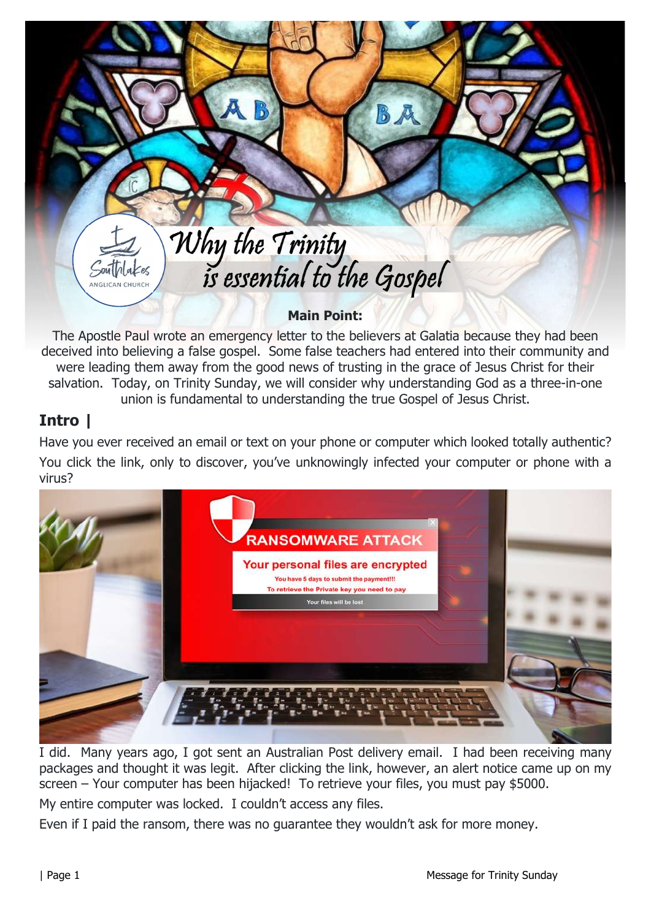# Why the Trinity<br>is essential to the Gospel

Main Point:

The Apostle Paul wrote an emergency letter to the believers at Galatia because they had been deceived into believing a false gospel. Some false teachers had entered into their community and were leading them away from the good news of trusting in the grace of Jesus Christ for their salvation. Today, on Trinity Sunday, we will consider why understanding God as a three-in-one union is fundamental to understanding the true Gospel of Jesus Christ.

## Intro |

 $504$  $h$  $h$  $ke$ ANGLICAN CHURCH

Have you ever received an email or text on your phone or computer which looked totally authentic? You click the link, only to discover, you've unknowingly infected your computer or phone with a virus?



I did. Many years ago, I got sent an Australian Post delivery email. I had been receiving many packages and thought it was legit. After clicking the link, however, an alert notice came up on my screen – Your computer has been hijacked! To retrieve your files, you must pay \$5000.

My entire computer was locked. I couldn't access any files.

Even if I paid the ransom, there was no guarantee they wouldn't ask for more money.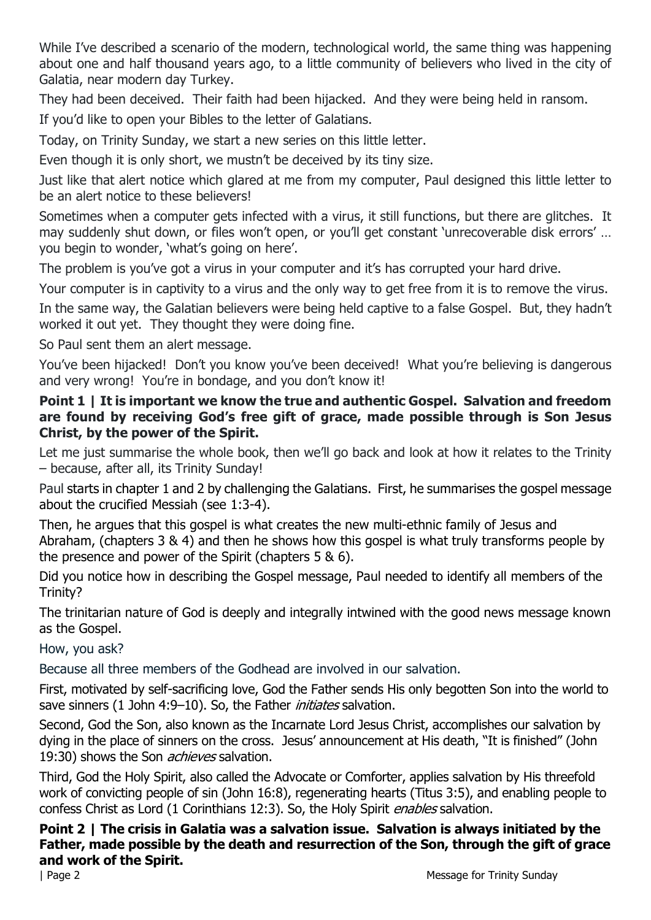While I've described a scenario of the modern, technological world, the same thing was happening about one and half thousand years ago, to a little community of believers who lived in the city of Galatia, near modern day Turkey.

They had been deceived. Their faith had been hijacked. And they were being held in ransom.

If you'd like to open your Bibles to the letter of Galatians.

Today, on Trinity Sunday, we start a new series on this little letter.

Even though it is only short, we mustn't be deceived by its tiny size.

Just like that alert notice which glared at me from my computer, Paul designed this little letter to be an alert notice to these believers!

Sometimes when a computer gets infected with a virus, it still functions, but there are glitches. It may suddenly shut down, or files won't open, or you'll get constant 'unrecoverable disk errors' ... you begin to wonder, 'what's going on here'.

The problem is you've got a virus in your computer and it's has corrupted your hard drive.

Your computer is in captivity to a virus and the only way to get free from it is to remove the virus.

In the same way, the Galatian believers were being held captive to a false Gospel. But, they hadn't worked it out yet. They thought they were doing fine.

So Paul sent them an alert message.

You've been hijacked! Don't you know you've been deceived! What you're believing is dangerous and very wrong! You're in bondage, and you don't know it!

### Point 1 | It is important we know the true and authentic Gospel. Salvation and freedom are found by receiving God's free gift of grace, made possible through is Son Jesus Christ, by the power of the Spirit.

Let me just summarise the whole book, then we'll go back and look at how it relates to the Trinity – because, after all, its Trinity Sunday!

Paul starts in chapter 1 and 2 by challenging the Galatians. First, he summarises the gospel message about the crucified Messiah (see 1:3-4).

Then, he argues that this gospel is what creates the new multi-ethnic family of Jesus and Abraham, (chapters 3 & 4) and then he shows how this gospel is what truly transforms people by the presence and power of the Spirit (chapters 5 & 6).

Did you notice how in describing the Gospel message, Paul needed to identify all members of the Trinity?

The trinitarian nature of God is deeply and integrally intwined with the good news message known as the Gospel.

How, you ask?

Because all three members of the Godhead are involved in our salvation.

First, motivated by self-sacrificing love, God the Father sends His only begotten Son into the world to save sinners (1 John 4:9–10). So, the Father *initiates* salvation.

Second, God the Son, also known as the Incarnate Lord Jesus Christ, accomplishes our salvation by dying in the place of sinners on the cross. Jesus' announcement at His death, "It is finished" (John 19:30) shows the Son *achieves* salvation.

Third, God the Holy Spirit, also called the Advocate or Comforter, applies salvation by His threefold work of convicting people of sin (John 16:8), regenerating hearts (Titus 3:5), and enabling people to confess Christ as Lord (1 Corinthians 12:3). So, the Holy Spirit *enables* salvation.

#### Point 2 | The crisis in Galatia was a salvation issue. Salvation is always initiated by the Father, made possible by the death and resurrection of the Son, through the gift of grace and work of the Spirit.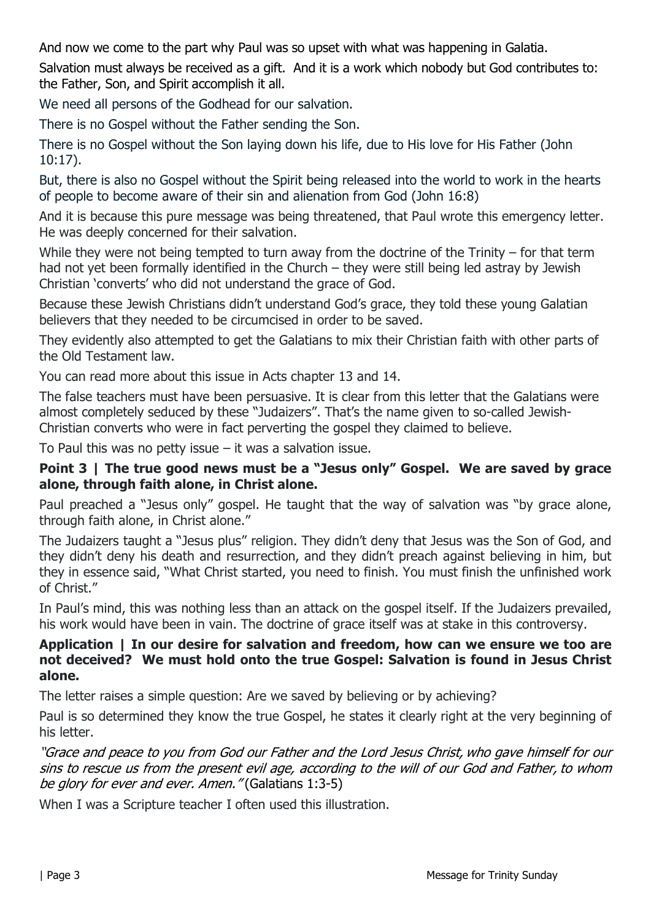And now we come to the part why Paul was so upset with what was happening in Galatia.

Salvation must always be received as a gift. And it is a work which nobody but God contributes to: the Father, Son, and Spirit accomplish it all.

We need all persons of the Godhead for our salvation.

There is no Gospel without the Father sending the Son.

There is no Gospel without the Son laying down his life, due to His love for His Father (John 10:17).

But, there is also no Gospel without the Spirit being released into the world to work in the hearts of people to become aware of their sin and alienation from God (John 16:8)

And it is because this pure message was being threatened, that Paul wrote this emergency letter. He was deeply concerned for their salvation.

While they were not being tempted to turn away from the doctrine of the Trinity – for that term had not yet been formally identified in the Church – they were still being led astray by Jewish Christian 'converts' who did not understand the grace of God.

Because these Jewish Christians didn't understand God's grace, they told these young Galatian believers that they needed to be circumcised in order to be saved.

They evidently also attempted to get the Galatians to mix their Christian faith with other parts of the Old Testament law.

You can read more about this issue in Acts chapter 13 and 14.

The false teachers must have been persuasive. It is clear from this letter that the Galatians were almost completely seduced by these "Judaizers". That's the name given to so-called Jewish-Christian converts who were in fact perverting the gospel they claimed to believe.

To Paul this was no petty issue  $-$  it was a salvation issue.

#### Point 3 | The true good news must be a "Jesus only" Gospel. We are saved by grace alone, through faith alone, in Christ alone.

Paul preached a "Jesus only" gospel. He taught that the way of salvation was "by grace alone, through faith alone, in Christ alone."

The Judaizers taught a "Jesus plus" religion. They didn't deny that Jesus was the Son of God, and they didn't deny his death and resurrection, and they didn't preach against believing in him, but they in essence said, "What Christ started, you need to finish. You must finish the unfinished work of Christ."

In Paul's mind, this was nothing less than an attack on the gospel itself. If the Judaizers prevailed, his work would have been in vain. The doctrine of grace itself was at stake in this controversy.

#### Application | In our desire for salvation and freedom, how can we ensure we too are not deceived? We must hold onto the true Gospel: Salvation is found in Jesus Christ alone.

The letter raises a simple question: Are we saved by believing or by achieving?

Paul is so determined they know the true Gospel, he states it clearly right at the very beginning of his letter.

"Grace and peace to you from God our Father and the Lord Jesus Christ, who gave himself for our sins to rescue us from the present evil age, according to the will of our God and Father, to whom be glory for ever and ever. Amen." (Galatians 1:3-5)

When I was a Scripture teacher I often used this illustration.